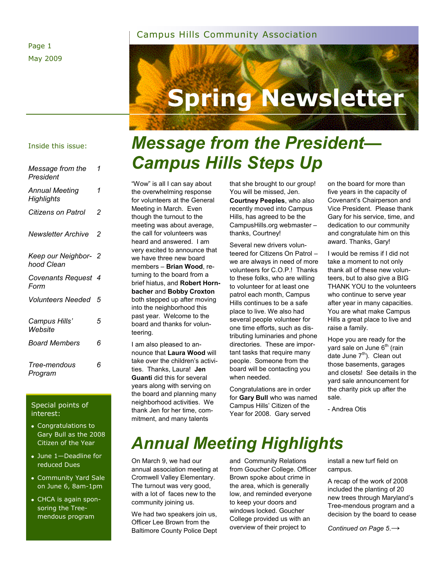#### Page 1 May 2009

#### Campus Hills Community Association



#### Inside this issue:

*Message from the* 

| Message from the<br>President       | 1 |
|-------------------------------------|---|
| Annual Meeting<br><b>Highlights</b> | 1 |
| Citizens on Patrol                  | 2 |
| Newsletter Archive                  | 2 |
| Keep our Neighbor- 2<br>hood Clean  |   |
| Covenants Request 4<br>Form         |   |
| <b>Volunteers Needed</b>            | 5 |
| Campus Hills'<br>Website            | 5 |
| <i>Board Members</i>                | 6 |
| Tree-mendous<br>Program             | 6 |

#### Special points of interest:

- Congratulations to Gary Bull as the 2008 Citizen of the Year
- June 1—Deadline for reduced Dues
- Community Yard Sale on June 6, 8am-1pm
- CHCA is again sponsoring the Treemendous program

# *Message from the President— Campus Hills Steps Up*

"Wow" is all I can say about the overwhelming response for volunteers at the General Meeting in March. Even though the turnout to the meeting was about average, the call for volunteers was heard and answered. I am very excited to announce that we have three new board members – **Brian Wood**, returning to the board from a brief hiatus, and **Robert Hornbacher** and **Bobby Croxton** both stepped up after moving into the neighborhood this past year. Welcome to the board and thanks for volunteering.

I am also pleased to announce that **Laura Wood** will take over the children's activities. Thanks, Laura! **Jen Guanti** did this for several years along with serving on the board and planning many neighborhood activities. We thank Jen for her time, commitment, and many talents

that she brought to our group! You will be missed, Jen. **Courtney Peeples**, who also recently moved into Campus Hills, has agreed to be the CampusHills.org webmaster – thanks, Courtney!

Several new drivers volunteered for Citizens On Patrol – we are always in need of more volunteers for C.O.P.! Thanks to these folks, who are willing to volunteer for at least one patrol each month, Campus Hills continues to be a safe place to live. We also had several people volunteer for one time efforts, such as distributing luminaries and phone directories. These are important tasks that require many people. Someone from the board will be contacting you when needed.

Congratulations are in order for **Gary Bull** who was named Campus Hills' Citizen of the Year for 2008. Gary served

on the board for more than five years in the capacity of Covenant's Chairperson and Vice President. Please thank Gary for his service, time, and dedication to our community and congratulate him on this award. Thanks, Gary!

I would be remiss if I did not take a moment to not only thank all of these new volunteers, but to also give a BIG THANK YOU to the volunteers who continue to serve year after year in many capacities. You are what make Campus Hills a great place to live and raise a family.

Hope you are ready for the yard sale on June  $6<sup>th</sup>$  (rain date June  $7<sup>th</sup>$ ). Clean out those basements, garages and closets! See details in the yard sale announcement for the charity pick up after the sale.

- Andrea Otis

### *Annual Meeting Highlights*

On March 9, we had our annual association meeting at Cromwell Valley Elementary. The turnout was very good, with a lot of faces new to the community joining us.

We had two speakers join us, Officer Lee Brown from the Baltimore County Police Dept and Community Relations from Goucher College. Officer Brown spoke about crime in the area, which is generally low, and reminded everyone to keep your doors and windows locked. Goucher College provided us with an overview of their project to

install a new turf field on campus.

A recap of the work of 2008 included the planting of 20 new trees through Maryland's Tree-mendous program and a decision by the board to cease

*Continued on Page 5*.**→**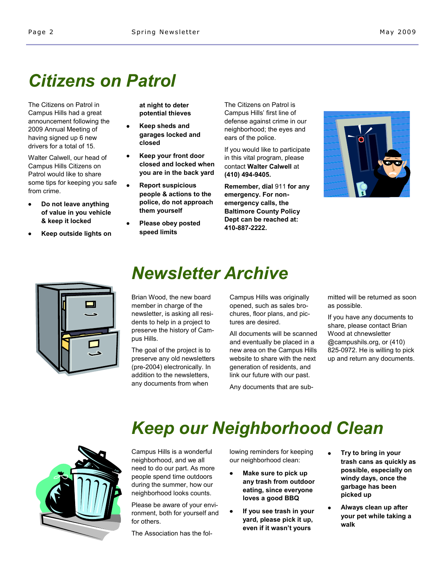# *Citizens on Patrol*

The Citizens on Patrol in Campus Hills had a great announcement following the 2009 Annual Meeting of having signed up 6 new drivers for a total of 15.

Walter Calwell, our head of Campus Hills Citizens on Patrol would like to share some tips for keeping you safe from crime.

- **Do not leave anything of value in you vehicle & keep it locked**
- **Keep outside lights on**

**at night to deter potential thieves**

- $\bullet$ **Keep sheds and garages locked and closed**
- **Keep your front door closed and locked when you are in the back yard**
- **Report suspicious people & actions to the police, do not approach them yourself**
- **Please obey posted speed limits**

The Citizens on Patrol is Campus Hills' first line of defense against crime in our neighborhood; the eyes and ears of the police.

If you would like to participate in this vital program, please contact **Walter Calwell** at **(410) 494-9405.**

**Remember, dial** 911 **for any emergency. For nonemergency calls, the Baltimore County Policy Dept can be reached at: 410-887-2222.**





### *Newsletter Archive*

Brian Wood, the new board member in charge of the newsletter, is asking all residents to help in a project to preserve the history of Campus Hills.

The goal of the project is to preserve any old newsletters (pre-2004) electronically. In addition to the newsletters, any documents from when

Campus Hills was originally opened, such as sales brochures, floor plans, and pictures are desired.

All documents will be scanned and eventually be placed in a new area on the Campus Hills website to share with the next generation of residents, and link our future with our past.

Any documents that are sub-

mitted will be returned as soon as possible.

If you have any documents to share, please contact Brian Wood at chnewsletter @campushils.org, or (410) 825-0972. He is willing to pick up and return any documents.

# *Keep our Neighborhood Clean*

Campus Hills is a wonderful neighborhood, and we all need to do our part. As more people spend time outdoors during the summer, how our neighborhood looks counts.

Please be aware of your environment, both for yourself and for others.

The Association has the fol-

lowing reminders for keeping our neighborhood clean:

- $\bullet$ **Make sure to pick up any trash from outdoor eating, since everyone loves a good BBQ**
- **If you see trash in your yard, please pick it up, even if it wasn't yours**
- **Try to bring in your trash cans as quickly as possible, especially on windy days, once the garbage has been picked up**
- **Always clean up after your pet while taking a walk**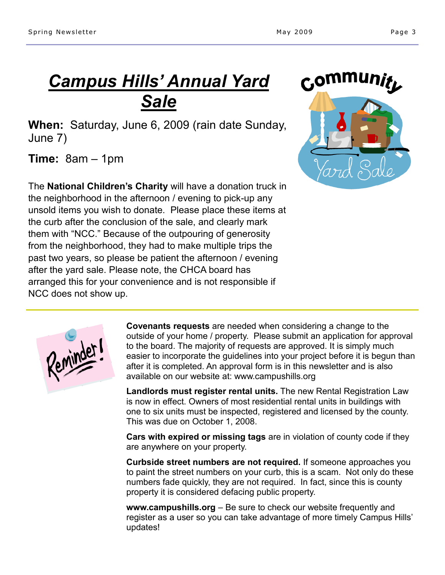## *Campus Hills' Annual Yard Sale*

**When:** Saturday, June 6, 2009 (rain date Sunday, June 7)

**Time:** 8am – 1pm

The **National Children's Charity** will have a donation truck in the neighborhood in the afternoon / evening to pick-up any unsold items you wish to donate. Please place these items at the curb after the conclusion of the sale, and clearly mark them with "NCC." Because of the outpouring of generosity from the neighborhood, they had to make multiple trips the past two years, so please be patient the afternoon / evening after the yard sale. Please note, the CHCA board has arranged this for your convenience and is not responsible if NCC does not show up.





**Covenants requests** are needed when considering a change to the outside of your home / property. Please submit an application for approval to the board. The majority of requests are approved. It is simply much easier to incorporate the guidelines into your project before it is begun than after it is completed. An approval form is in this newsletter and is also available on our website at: www.campushills.org

**Landlords must register rental units.** The new Rental Registration Law is now in effect. Owners of most residential rental units in buildings with one to six units must be inspected, registered and licensed by the county. This was due on October 1, 2008.

**Cars with expired or missing tags** are in violation of county code if they are anywhere on your property.

**Curbside street numbers are not required.** If someone approaches you to paint the street numbers on your curb, this is a scam. Not only do these numbers fade quickly, they are not required. In fact, since this is county property it is considered defacing public property.

**www.campushills.org** – Be sure to check our website frequently and register as a user so you can take advantage of more timely Campus Hills' updates!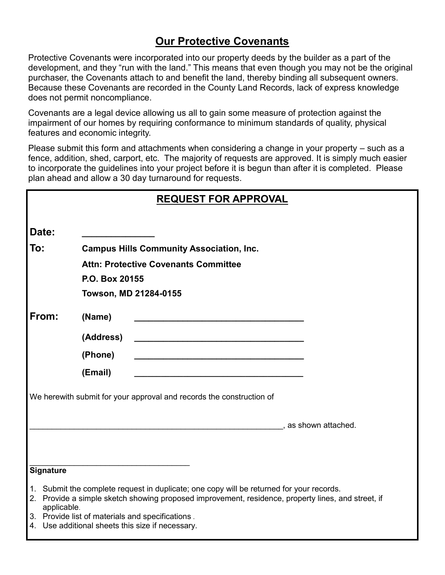### **Our Protective Covenants**

Protective Covenants were incorporated into our property deeds by the builder as a part of the development, and they "run with the land." This means that even though you may not be the original purchaser, the Covenants attach to and benefit the land, thereby binding all subsequent owners. Because these Covenants are recorded in the County Land Records, lack of express knowledge does not permit noncompliance.

Covenants are a legal device allowing us all to gain some measure of protection against the impairment of our homes by requiring conformance to minimum standards of quality, physical features and economic integrity.

Please submit this form and attachments when considering a change in your property – such as a fence, addition, shed, carport, etc. The majority of requests are approved. It is simply much easier to incorporate the guidelines into your project before it is begun than after it is completed. Please plan ahead and allow a 30 day turnaround for requests.

| <b>REQUEST FOR APPROVAL</b>                                          |                  |                                                                                                                                                                                                                                                    |  |  |
|----------------------------------------------------------------------|------------------|----------------------------------------------------------------------------------------------------------------------------------------------------------------------------------------------------------------------------------------------------|--|--|
| Date:                                                                |                  |                                                                                                                                                                                                                                                    |  |  |
| To:                                                                  |                  | <b>Campus Hills Community Association, Inc.</b>                                                                                                                                                                                                    |  |  |
|                                                                      |                  | <b>Attn: Protective Covenants Committee</b>                                                                                                                                                                                                        |  |  |
|                                                                      |                  | P.O. Box 20155                                                                                                                                                                                                                                     |  |  |
|                                                                      |                  | Towson, MD 21284-0155                                                                                                                                                                                                                              |  |  |
| From:                                                                | (Name)           |                                                                                                                                                                                                                                                    |  |  |
|                                                                      |                  | (Address)                                                                                                                                                                                                                                          |  |  |
|                                                                      |                  | (Phone)<br><u> 1980 - Johann John Stone, markin amerikan basar dan berkembang di banyak di banyak di banyak di banyak di ba</u>                                                                                                                    |  |  |
|                                                                      | (Email)          |                                                                                                                                                                                                                                                    |  |  |
| We herewith submit for your approval and records the construction of |                  |                                                                                                                                                                                                                                                    |  |  |
|                                                                      |                  |                                                                                                                                                                                                                                                    |  |  |
|                                                                      |                  | , as shown attached.                                                                                                                                                                                                                               |  |  |
|                                                                      |                  |                                                                                                                                                                                                                                                    |  |  |
|                                                                      |                  |                                                                                                                                                                                                                                                    |  |  |
|                                                                      | <b>Signature</b> |                                                                                                                                                                                                                                                    |  |  |
|                                                                      | applicable.      | 1. Submit the complete request in duplicate; one copy will be returned for your records.<br>2. Provide a simple sketch showing proposed improvement, residence, property lines, and street, if<br>3. Provide list of materials and specifications. |  |  |

4. Use additional sheets this size if necessary.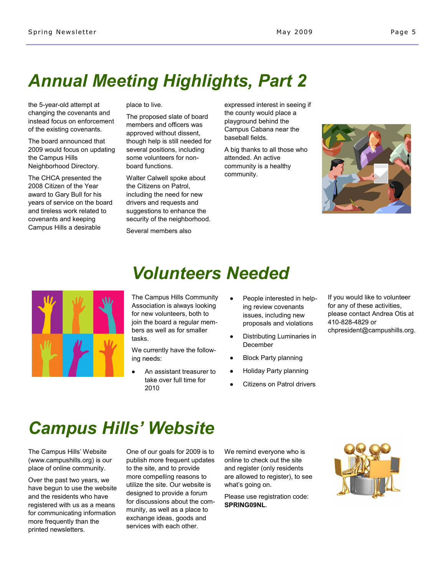# *Annual Meeting Highlights, Part 2*

the 5-year-old attempt at changing the covenants and instead focus on enforcement of the existing covenants.

The board announced that 2009 would focus on updating the Campus Hills Neighborhood Directory.

The CHCA presented the 2008 Citizen of the Year award to Gary Bull for his years of service on the board and tireless work related to covenants and keeping Campus Hills a desirable

place to live.

The proposed slate of board members and officers was approved without dissent, though help is still needed for several positions, including some volunteers for nonboard functions.

Walter Calwell spoke about the Citizens on Patrol, including the need for new drivers and requests and suggestions to enhance the security of the neighborhood.

Several members also

expressed interest in seeing if the county would place a playground behind the Campus Cabana near the baseball fields.

A big thanks to all those who attended. An active community is a healthy community.





### *Volunteers Needed*

The Campus Hills Community Association is always looking for new volunteers, both to join the board a regular members as well as for smaller tasks.

We currently have the following needs:

- An assistant treasurer to take over full time for 2010
- People interested in helping review covenants issues, including new proposals and violations
- Distributing Luminaries in  $\bullet$ December
- Block Party planning
- Holiday Party planning
- Citizens on Patrol drivers

If you would like to volunteer for any of these activities, please contact Andrea Otis at 410-828-4829 or chpresident@campushills.org.

### *Campus Hills' Website*

The Campus Hills' Website (www.campushills.org) is our place of online community.

Over the past two years, we have begun to use the website and the residents who have registered with us as a means for communicating information more frequently than the printed newsletters.

One of our goals for 2009 is to publish more frequent updates to the site, and to provide more compelling reasons to utilize the site. Our website is designed to provide a forum for discussions about the community, as well as a place to exchange ideas, goods and services with each other.

We remind everyone who is online to check out the site and register (only residents are allowed to register), to see what's going on.

Please use registration code: **SPRING09NL**.